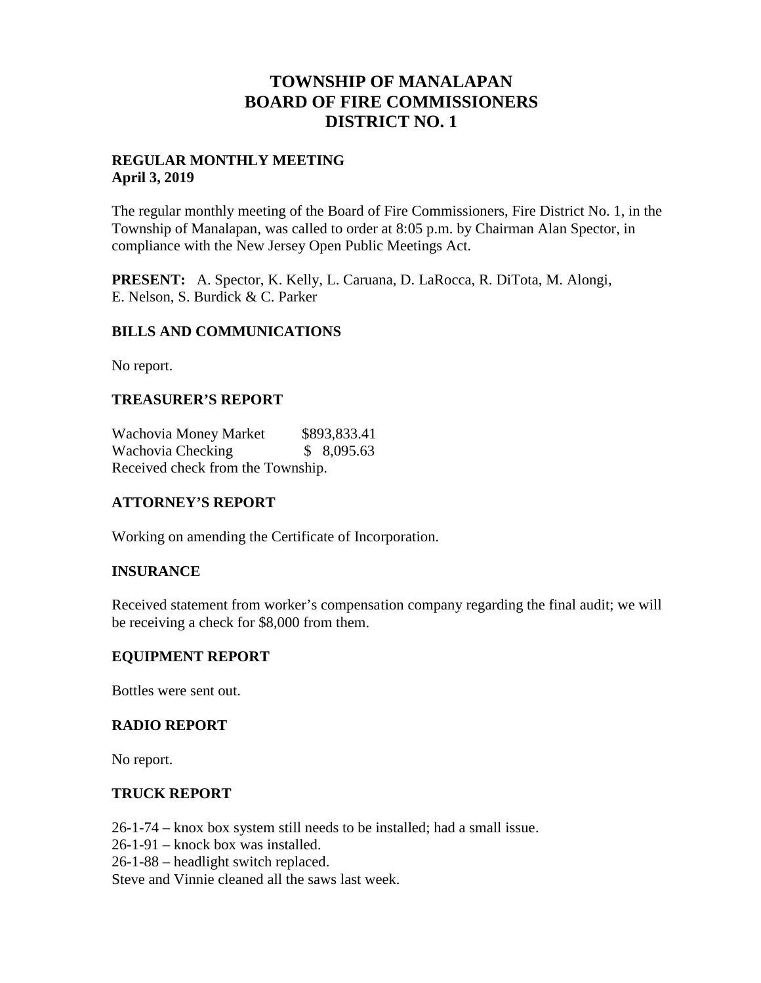# **TOWNSHIP OF MANALAPAN BOARD OF FIRE COMMISSIONERS DISTRICT NO. 1**

# **REGULAR MONTHLY MEETING April 3, 2019**

The regular monthly meeting of the Board of Fire Commissioners, Fire District No. 1, in the Township of Manalapan, was called to order at 8:05 p.m. by Chairman Alan Spector, in compliance with the New Jersey Open Public Meetings Act.

**PRESENT:** A. Spector, K. Kelly, L. Caruana, D. LaRocca, R. DiTota, M. Alongi, E. Nelson, S. Burdick & C. Parker

# **BILLS AND COMMUNICATIONS**

No report.

# **TREASURER'S REPORT**

Wachovia Money Market \$893,833.41 Wachovia Checking  $$ 8,095.63$ Received check from the Township.

# **ATTORNEY'S REPORT**

Working on amending the Certificate of Incorporation.

# **INSURANCE**

Received statement from worker's compensation company regarding the final audit; we will be receiving a check for \$8,000 from them.

# **EQUIPMENT REPORT**

Bottles were sent out.

# **RADIO REPORT**

No report.

# **TRUCK REPORT**

26-1-74 – knox box system still needs to be installed; had a small issue. 26-1-91 – knock box was installed. 26-1-88 – headlight switch replaced. Steve and Vinnie cleaned all the saws last week.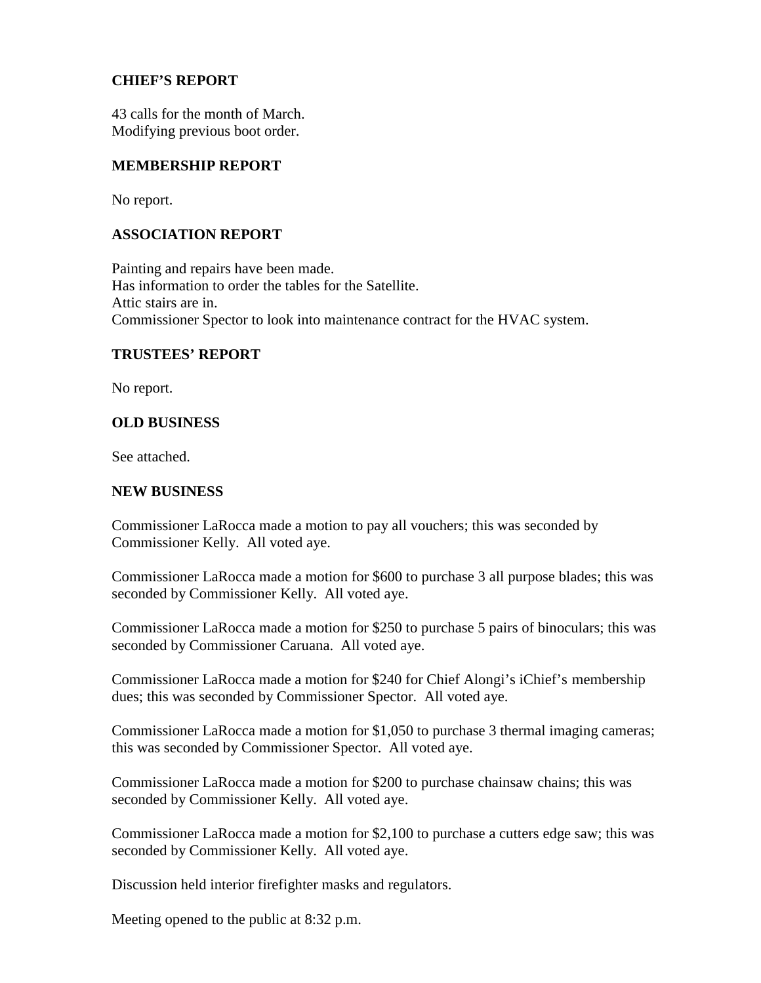# **CHIEF'S REPORT**

43 calls for the month of March. Modifying previous boot order.

# **MEMBERSHIP REPORT**

No report.

# **ASSOCIATION REPORT**

Painting and repairs have been made. Has information to order the tables for the Satellite. Attic stairs are in. Commissioner Spector to look into maintenance contract for the HVAC system.

# **TRUSTEES' REPORT**

No report.

# **OLD BUSINESS**

See attached.

#### **NEW BUSINESS**

Commissioner LaRocca made a motion to pay all vouchers; this was seconded by Commissioner Kelly. All voted aye.

Commissioner LaRocca made a motion for \$600 to purchase 3 all purpose blades; this was seconded by Commissioner Kelly. All voted aye.

Commissioner LaRocca made a motion for \$250 to purchase 5 pairs of binoculars; this was seconded by Commissioner Caruana. All voted aye.

Commissioner LaRocca made a motion for \$240 for Chief Alongi's iChief's membership dues; this was seconded by Commissioner Spector. All voted aye.

Commissioner LaRocca made a motion for \$1,050 to purchase 3 thermal imaging cameras; this was seconded by Commissioner Spector. All voted aye.

Commissioner LaRocca made a motion for \$200 to purchase chainsaw chains; this was seconded by Commissioner Kelly. All voted aye.

Commissioner LaRocca made a motion for \$2,100 to purchase a cutters edge saw; this was seconded by Commissioner Kelly. All voted aye.

Discussion held interior firefighter masks and regulators.

Meeting opened to the public at 8:32 p.m.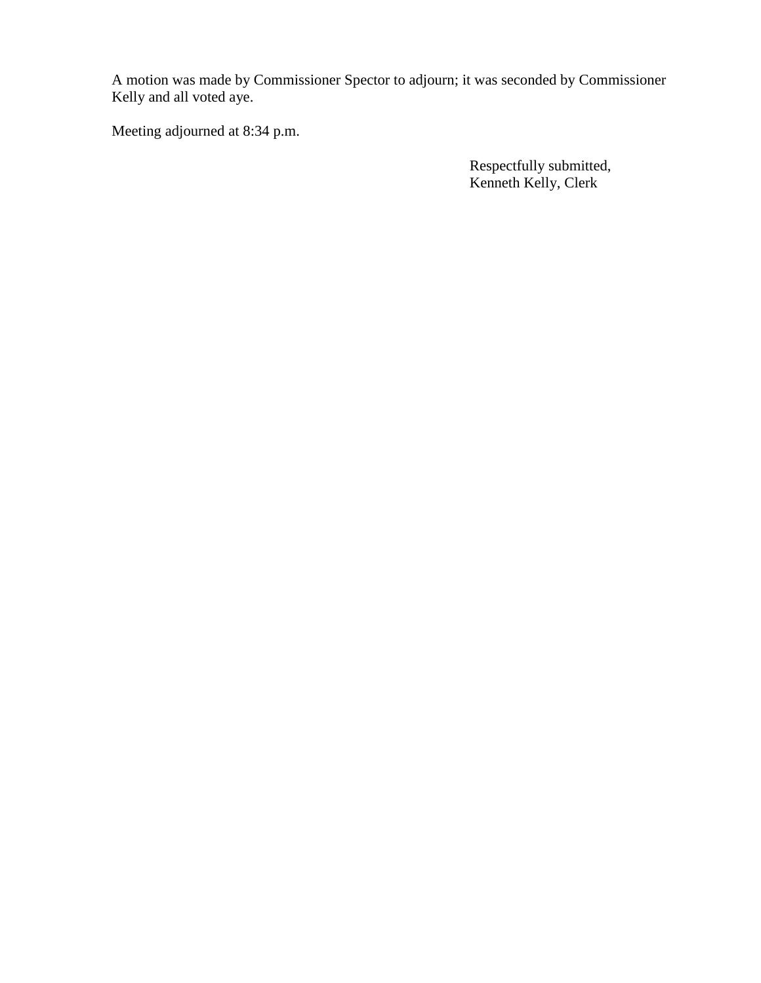A motion was made by Commissioner Spector to adjourn; it was seconded by Commissioner Kelly and all voted aye.

Meeting adjourned at 8:34 p.m.

Respectfully submitted, Kenneth Kelly, Clerk